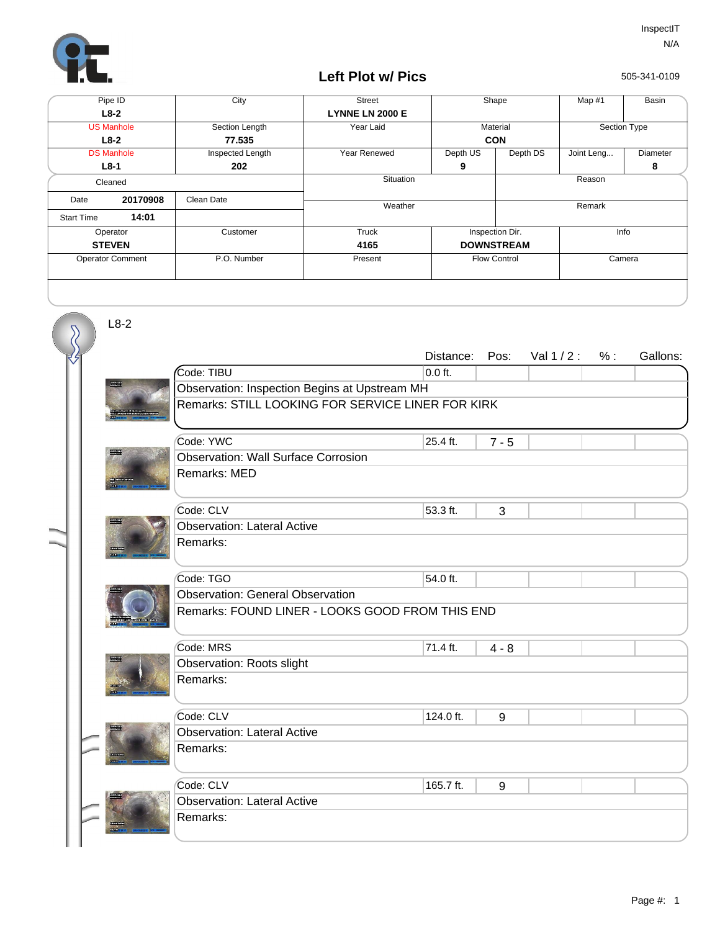

## **Left Plot w/ Pics**

505-341-0109

| Pipe ID                 |          | City             | <b>Street</b>          | Shape               |          | Map #1       | Basin    |
|-------------------------|----------|------------------|------------------------|---------------------|----------|--------------|----------|
| $L8-2$                  |          |                  | <b>LYNNE LN 2000 E</b> |                     |          |              |          |
| <b>US Manhole</b>       |          | Section Length   | Year Laid              | Material            |          | Section Type |          |
| $L8-2$                  |          | 77.535           |                        | <b>CON</b>          |          |              |          |
| <b>DS Manhole</b>       |          | Inspected Length | Year Renewed           | Depth US            | Depth DS | Joint Leng   | Diameter |
| $L8-1$                  |          | 202              |                        | 9                   |          |              | 8        |
| Cleaned                 |          |                  | Situation              |                     | Reason   |              |          |
| Date                    | 20170908 | Clean Date       | Weather                |                     |          | Remark       |          |
| <b>Start Time</b>       | 14:01    |                  |                        |                     |          |              |          |
|                         |          |                  |                        |                     |          |              |          |
| Operator                |          | Customer         | Truck                  | Inspection Dir.     |          | Info         |          |
| <b>STEVEN</b>           |          |                  | 4165                   | <b>DOWNSTREAM</b>   |          |              |          |
| <b>Operator Comment</b> |          | P.O. Number      | Present                | <b>Flow Control</b> |          |              | Camera   |
|                         |          |                  |                        |                     |          |              |          |

pressure<br>Nonca

**Board** 

<u>mar</u>

L8-2

 $\overline{\mathcal{S}}$ 

|                                                   | Distance: | Pos:    | Val $1/2$ : | $%$ : | Gallons: |  |  |  |  |
|---------------------------------------------------|-----------|---------|-------------|-------|----------|--|--|--|--|
| Code: TIBU                                        | $0.0$ ft. |         |             |       |          |  |  |  |  |
| Observation: Inspection Begins at Upstream MH     |           |         |             |       |          |  |  |  |  |
| Remarks: STILL LOOKING FOR SERVICE LINER FOR KIRK |           |         |             |       |          |  |  |  |  |
| Code: YWC                                         | 25.4 ft.  | $7 - 5$ |             |       |          |  |  |  |  |
| <b>Observation: Wall Surface Corrosion</b>        |           |         |             |       |          |  |  |  |  |
| Remarks: MED                                      |           |         |             |       |          |  |  |  |  |
| Code: CLV                                         | 53.3 ft.  | 3       |             |       |          |  |  |  |  |
| <b>Observation: Lateral Active</b>                |           |         |             |       |          |  |  |  |  |
| Remarks:                                          |           |         |             |       |          |  |  |  |  |
|                                                   |           |         |             |       |          |  |  |  |  |
| Code: TGO                                         | 54.0 ft.  |         |             |       |          |  |  |  |  |
| <b>Observation: General Observation</b>           |           |         |             |       |          |  |  |  |  |
| Remarks: FOUND LINER - LOOKS GOOD FROM THIS END   |           |         |             |       |          |  |  |  |  |
| Code: MRS                                         | 71.4 ft.  | $4 - 8$ |             |       |          |  |  |  |  |
| Observation: Roots slight                         |           |         |             |       |          |  |  |  |  |
| Remarks:                                          |           |         |             |       |          |  |  |  |  |
|                                                   |           |         |             |       |          |  |  |  |  |
| Code: CLV                                         | 124.0 ft. | 9       |             |       |          |  |  |  |  |
| <b>Observation: Lateral Active</b>                |           |         |             |       |          |  |  |  |  |
| Remarks:                                          |           |         |             |       |          |  |  |  |  |
|                                                   |           |         |             |       |          |  |  |  |  |
| Code: CLV                                         | 165.7 ft. | 9       |             |       |          |  |  |  |  |
| <b>Observation: Lateral Active</b>                |           |         |             |       |          |  |  |  |  |
| Remarks:                                          |           |         |             |       |          |  |  |  |  |
|                                                   |           |         |             |       |          |  |  |  |  |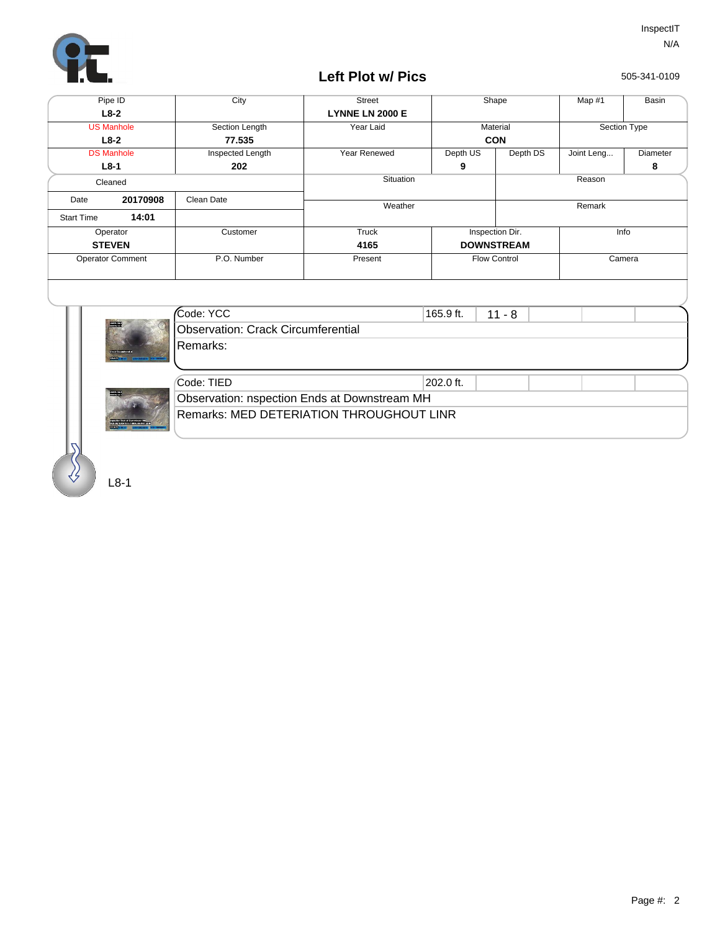

## **Left Plot w/ Pics**

505-341-0109

| Pipe ID                 |          | City             | <b>Street</b>          | Shape               |          | Map $#1$     | Basin    |
|-------------------------|----------|------------------|------------------------|---------------------|----------|--------------|----------|
| $L8-2$                  |          |                  | <b>LYNNE LN 2000 E</b> |                     |          |              |          |
| <b>US Manhole</b>       |          | Section Length   | Year Laid              | Material            |          | Section Type |          |
| $L8-2$                  |          | 77.535           |                        | <b>CON</b>          |          |              |          |
| <b>DS Manhole</b>       |          | Inspected Length | Year Renewed           | Depth US            | Depth DS | Joint Leng   | Diameter |
| $L8-1$                  |          | 202              |                        | 9                   |          |              | 8        |
| Cleaned                 |          |                  | Situation              |                     | Reason   |              |          |
| Date                    | 20170908 | Clean Date       |                        |                     |          |              |          |
|                         |          |                  | Weather                |                     |          | Remark       |          |
| <b>Start Time</b>       | 14:01    |                  |                        |                     |          |              |          |
| Operator                |          | Customer         | Truck                  | Inspection Dir.     |          | Info         |          |
| <b>STEVEN</b>           |          |                  | 4165                   | <b>DOWNSTREAM</b>   |          |              |          |
| <b>Operator Comment</b> |          | P.O. Number      | Present                | <b>Flow Control</b> |          | Camera       |          |
|                         |          |                  |                        |                     |          |              |          |
|                         |          |                  |                        |                     |          |              |          |
|                         |          |                  |                        |                     |          |              |          |
| ш                       |          | $\mathcal{L}$    |                        |                     |          |              |          |



| Code: YCC                                    | 165.9 ft.<br>$11 - 8$ |  |  |  |  |  |  |  |
|----------------------------------------------|-----------------------|--|--|--|--|--|--|--|
| Observation: Crack Circumferential           |                       |  |  |  |  |  |  |  |
| IRemarks:                                    |                       |  |  |  |  |  |  |  |
|                                              |                       |  |  |  |  |  |  |  |
|                                              |                       |  |  |  |  |  |  |  |
| Code: TIED                                   | 202.0 ft.             |  |  |  |  |  |  |  |
| Observation: nspection Ends at Downstream MH |                       |  |  |  |  |  |  |  |
| Remarks: MED DETERIATION THROUGHOUT LINR     |                       |  |  |  |  |  |  |  |

L8-1

**The Contract of the Contract of the Contract of The Contract of The Contract of The Contract of The Contract o**